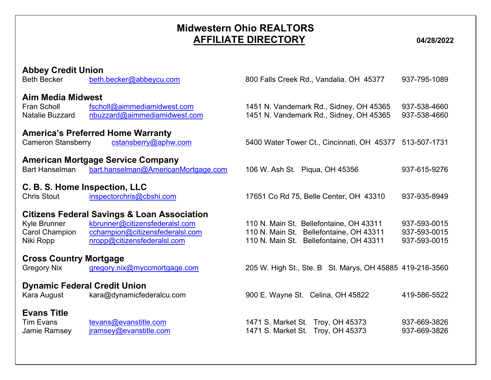## Midwestern Ohio REALTORS AFFILIATE DIRECTORY 04/28/2022

| <b>Abbey Credit Union</b><br><b>Beth Becker</b>                          | beth.becker@abbeycu.com                                                                                                                                    | 800 Falls Creek Rd., Vandalia. OH 45377                                                                                       | 937-795-1089                                 |
|--------------------------------------------------------------------------|------------------------------------------------------------------------------------------------------------------------------------------------------------|-------------------------------------------------------------------------------------------------------------------------------|----------------------------------------------|
| <b>Aim Media Midwest</b><br><b>Fran Scholl</b><br><b>Natalie Buzzard</b> | fscholl@aimmediamidwest.com<br>nbuzzard@aimmediamidwest.com                                                                                                | 1451 N. Vandemark Rd., Sidney, OH 45365<br>1451 N. Vandemark Rd., Sidney, OH 45365                                            | 937-538-4660<br>937-538-4660                 |
| <b>Cameron Stansberry</b>                                                | <b>America's Preferred Home Warranty</b><br>cstansberry@aphw.com                                                                                           | 5400 Water Tower Ct., Cincinnati, OH 45377                                                                                    | 513-507-1731                                 |
| <b>Bart Hanselman</b>                                                    | <b>American Mortgage Service Company</b><br>bart.hanselman@AmericanMortgage.com                                                                            | 106 W. Ash St. Piqua, OH 45356                                                                                                | 937-615-9276                                 |
| C. B. S. Home Inspection, LLC<br><b>Chris Stout</b>                      | inspectorchris@cbshi.com                                                                                                                                   | 17651 Co Rd 75, Belle Center, OH 43310                                                                                        | 937-935-8949                                 |
| Kyle Brunner<br><b>Carol Champion</b><br>Niki Ropp                       | <b>Citizens Federal Savings &amp; Loan Association</b><br>kbrunner@citizensfederalsl.com<br>cchampion@citizensfederalsl.com<br>nropp@citizensfederalsl.com | 110 N. Main St. Bellefontaine, OH 43311<br>110 N. Main St. Bellefontaine, OH 43311<br>110 N. Main St. Bellefontaine, OH 43311 | 937-593-0015<br>937-593-0015<br>937-593-0015 |
| <b>Cross Country Mortgage</b><br><b>Gregory Nix</b>                      | gregory.nix@myccmortgage.com                                                                                                                               | 205 W. High St., Ste. B St. Marys, OH 45885 419-216-3560                                                                      |                                              |
| <b>Dynamic Federal Credit Union</b><br>Kara August                       | kara@dynamicfederalcu.com                                                                                                                                  | 900 E. Wayne St. Celina, OH 45822                                                                                             | 419-586-5522                                 |
| <b>Evans Title</b><br><b>Tim Evans</b><br>Jamie Ramsey                   | tevans@evanstitle.com<br>jramsey@evanstitle.com                                                                                                            | 1471 S. Market St. Troy, OH 45373<br>1471 S. Market St. Troy, OH 45373                                                        | 937-669-3826<br>937-669-3826                 |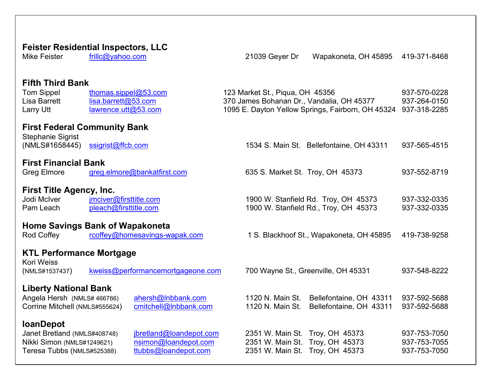## Feister Residential Inspectors, LLC Mike Feister frillc@yahoo.com 21039 Gever Dr Wapakoneta, OH 45895 419-371-8468 Fifth Third Bank Tom Sippel thomas.sippel@53.com 123 Market St., Piqua, OH 45356 937-570-0228 Lisa Barrett lisa.barrett@53.com 370 James Bohanan Dr., Vandalia, OH 45377 937-264-0150 Larry Utt lawrence.utt@53.com 1095 E. Dayton Yellow Springs, Fairborn, OH 45324 937-318-2285 First Federal Community Bank Stephanie Sigrist (NMLS#1658445) ssigrist@ffcb.com 1534 S. Main St. Bellefontaine, OH 43311 937-565-4515 First Financial Bank Greg Elmore greg.elmore@bankatfirst.com 635 S. Market St. Troy, OH 45373 937-552-8719 First Title Agency, Inc. Jodi McIver imciver@firsttitle.com 1900 W. Stanfield Rd. Troy, OH 45373 937-332-0335 Pam Leach pleach@firsttitle.com 1900 W. Stanfield Rd., Troy, OH 45373 937-332-0335 Home Savings Bank of Wapakoneta Rod Coffey rcoffey@homesavings-wapak.com 1 S. Blackhoof St., Wapakoneta, OH 45895 419-738-9258 KTL Performance Mortgage Kori Weiss (NMLS#1537437) kweiss@performancemortgageone.com 700 Wayne St., Greenville, OH 45331 937-548-8222 Liberty National Bank Angela Hersh (NMLS# 466766) ahersh@lnbbank.com 1120 N. Main St. Bellefontaine, OH 43311 937-592-5688 Corrine Mitchell (NMLS#555624) cmitchell@Inbbank.com 1120 N. Main St. Bellefontaine, OH 43311 937-592-5688 loanDepot Janet Bretland (NMLS#408748) <u>jbretland@loandepot.com</u> 2351 W. Main St. Troy, OH 45373 937-753-7050<br>Nikki Simon (NMLS#1249621) nsimon@loandepot.com 2351 W. Main St. Troy, OH 45373 937-753-7055 Nikki Simon (NMLS#1249621) nsimon@loandepot.com 2351 W. Main St. Troy, OH 45373 937-753-7055 Teresa Tubbs (NMLS#525388) ttubbs@loandepot.com 2351 W. Main St. Troy, OH 45373 937-753-7050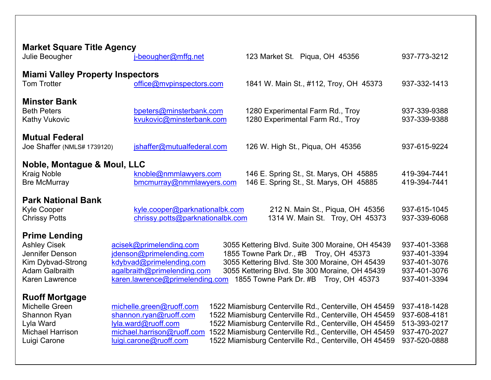| <b>Market Square Title Agency</b><br>Julie Beougher                                                                                   | i-beougher@mffg.net                                                                                                                               | 123 Market St. Piqua, OH 45356                                                                                                                                                                                                                                                                 | 937-773-3212                                                                 |
|---------------------------------------------------------------------------------------------------------------------------------------|---------------------------------------------------------------------------------------------------------------------------------------------------|------------------------------------------------------------------------------------------------------------------------------------------------------------------------------------------------------------------------------------------------------------------------------------------------|------------------------------------------------------------------------------|
| <b>Miami Valley Property Inspectors</b><br><b>Tom Trotter</b>                                                                         | office@mvpinspectors.com                                                                                                                          | 1841 W. Main St., #112, Troy, OH 45373                                                                                                                                                                                                                                                         | 937-332-1413                                                                 |
| <b>Minster Bank</b><br><b>Beth Peters</b><br><b>Kathy Vukovic</b>                                                                     | bpeters@minsterbank.com<br>kvukovic@minsterbank.com                                                                                               | 1280 Experimental Farm Rd., Troy<br>1280 Experimental Farm Rd., Troy                                                                                                                                                                                                                           | 937-339-9388<br>937-339-9388                                                 |
| <b>Mutual Federal</b><br>Joe Shaffer (NMLS# 1739120)                                                                                  | jshaffer@mutualfederal.com                                                                                                                        | 126 W. High St., Piqua, OH 45356                                                                                                                                                                                                                                                               | 937-615-9224                                                                 |
| Noble, Montague & Moul, LLC<br><b>Kraig Noble</b><br><b>Bre McMurray</b>                                                              | knoble@nmmlawyers.com<br>bmcmurray@nmmlawyers.com                                                                                                 | 146 E. Spring St., St. Marys, OH 45885<br>146 E. Spring St., St. Marys, OH 45885                                                                                                                                                                                                               | 419-394-7441<br>419-394-7441                                                 |
| <b>Park National Bank</b><br><b>Kyle Cooper</b><br><b>Chrissy Potts</b>                                                               | kyle.cooper@parknationalbk.com<br>chrissy.potts@parknationalbk.com                                                                                | 212 N. Main St., Piqua, OH 45356<br>1314 W. Main St. Troy, OH 45373                                                                                                                                                                                                                            | 937-615-1045<br>937-339-6068                                                 |
| <b>Prime Lending</b><br><b>Ashley Cisek</b><br>Jennifer Denson<br>Kim Dybvad-Strong<br><b>Adam Galbraith</b><br><b>Karen Lawrence</b> | acisek@primelending.com<br>jdenson@primelending.com<br>kdybvad@primelending.com<br>agalbraith@primelending.com<br>karen.lawrence@primelending.com | 3055 Kettering Blvd. Suite 300 Moraine, OH 45439<br>1855 Towne Park Dr., #B Troy, OH 45373<br>3055 Kettering Blvd. Ste 300 Moraine, OH 45439<br>3055 Kettering Blvd. Ste 300 Moraine, OH 45439<br>1855 Towne Park Dr. #B Troy, OH 45373                                                        | 937-401-3368<br>937-401-3394<br>937-401-3076<br>937-401-3076<br>937-401-3394 |
| <b>Ruoff Mortgage</b><br>Michelle Green<br>Shannon Ryan<br>Lyla Ward<br><b>Michael Harrison</b><br>Luigi Carone                       | michelle.green@ruoff.com<br>shannon.ryan@ruoff.com<br>lyla.ward@ruoff.com<br>michael.harrison@ruoff.com<br>luigi.carone@ruoff.com                 | 1522 Miamisburg Centerville Rd., Centerville, OH 45459<br>1522 Miamisburg Centerville Rd., Centerville, OH 45459<br>1522 Miamisburg Centerville Rd., Centerville, OH 45459<br>1522 Miamisburg Centerville Rd., Centerville, OH 45459<br>1522 Miamisburg Centerville Rd., Centerville, OH 45459 | 937-418-1428<br>937-608-4181<br>513-393-0217<br>937-470-2027<br>937-520-0888 |